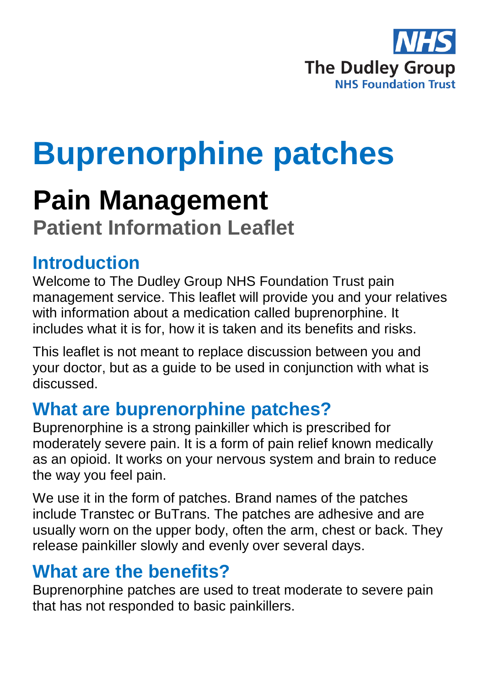

# **Buprenorphine patches**

## **Pain Management**

**Patient Information Leaflet**

#### **Introduction**

Welcome to The Dudley Group NHS Foundation Trust pain management service. This leaflet will provide you and your relatives with information about a medication called buprenorphine. It includes what it is for, how it is taken and its benefits and risks.

This leaflet is not meant to replace discussion between you and your doctor, but as a guide to be used in conjunction with what is discussed.

#### **What are buprenorphine patches?**

Buprenorphine is a strong painkiller which is prescribed for moderately severe pain. It is a form of pain relief known medically as an opioid. It works on your nervous system and brain to reduce the way you feel pain.

We use it in the form of patches. Brand names of the patches include Transtec or BuTrans. The patches are adhesive and are usually worn on the upper body, often the arm, chest or back. They release painkiller slowly and evenly over several days.

#### **What are the benefits?**

Buprenorphine patches are used to treat moderate to severe pain that has not responded to basic painkillers.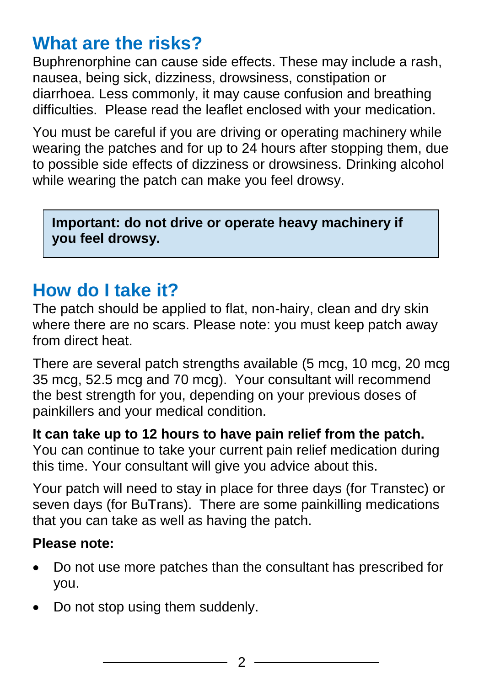#### **What are the risks?**

Buphrenorphine can cause side effects. These may include a rash, nausea, being sick, dizziness, drowsiness, constipation or diarrhoea. Less commonly, it may cause confusion and breathing difficulties. Please read the leaflet enclosed with your medication.

You must be careful if you are driving or operating machinery while wearing the patches and for up to 24 hours after stopping them, due to possible side effects of dizziness or drowsiness. Drinking alcohol while wearing the patch can make you feel drowsy.

**Important: do not drive or operate heavy machinery if you feel drowsy.**

### **How do I take it?**

The patch should be applied to flat, non-hairy, clean and dry skin where there are no scars. Please note: you must keep patch away from direct heat.

There are several patch strengths available (5 mcg, 10 mcg, 20 mcg 35 mcg, 52.5 mcg and 70 mcg). Your consultant will recommend the best strength for you, depending on your previous doses of painkillers and your medical condition.

**It can take up to 12 hours to have pain relief from the patch.**

You can continue to take your current pain relief medication during this time. Your consultant will give you advice about this.

Your patch will need to stay in place for three days (for Transtec) or seven days (for BuTrans). There are some painkilling medications that you can take as well as having the patch.

#### **Please note:**

- Do not use more patches than the consultant has prescribed for you.
- Do not stop using them suddenly.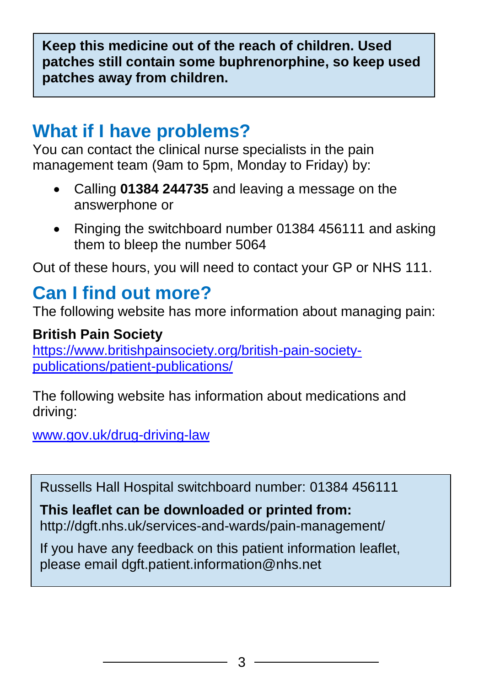**Keep this medicine out of the reach of children. Used patches still contain some buphrenorphine, so keep used patches away from children.** 

#### **What if I have problems?**

You can contact the clinical nurse specialists in the pain management team (9am to 5pm, Monday to Friday) by:

- Calling **01384 244735** and leaving a message on the answerphone or
- Ringing the switchboard number 01384 456111 and asking them to bleep the number 5064

Out of these hours, you will need to contact your GP or NHS 111.

### **Can I find out more?**

The following website has more information about managing pain:

**British Pain Society** [https://www.britishpainsociety.org/british-pain-society](https://www.britishpainsociety.org/british-pain-society-publications/patient-publications/)[publications/patient-publications/](https://www.britishpainsociety.org/british-pain-society-publications/patient-publications/)

The following website has information about medications and driving:

[www.gov.uk/drug-driving-law](file:///C:/Users/User/Desktop/New%20folder/www.gov.uk/drug-driving-law)

Russells Hall Hospital switchboard number: 01384 456111

**This leaflet can be downloaded or printed from:** http://dgft.nhs.uk/services-and-wards/pain-management/

If you have any feedback on this patient information leaflet, please email dgft.patient.information@nhs.net